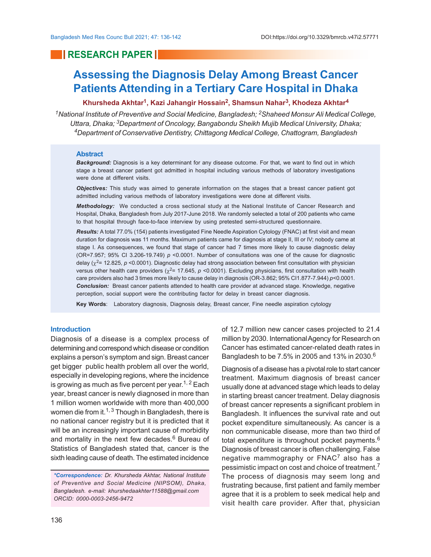## **RESEARCH PAPER**

# **Assessing the Diagnosis Delay Among Breast Cancer Patients Attending in a Tertiary Care Hospital in Dhaka**

#### **Khursheda Akhtar<sup>1</sup> , Kazi Jahangir Hossain<sup>2</sup> , Shamsun Nahar<sup>3</sup> , Khodeza Akhtar<sup>4</sup>**

*<sup>1</sup>National Institute of Preventive and Social Medicine, Bangladesh; 2Shaheed Monsur Ali Medical College, Uttara, Dhaka; 3Department of Oncology, Bangabondu Sheikh Mujib Medical University, Dhaka; <sup>4</sup>Department of Conservative Dentistry, Chittagong Medical College, Chattogram, Bangladesh*

#### **Abstract**

*Background:* Diagnosis is a key determinant for any disease outcome. For that, we want to find out in which stage a breast cancer patient got admitted in hospital including various methods of laboratory investigations were done at different visits.

*Objectives:* This study was aimed to generate information on the stages that a breast cancer patient got admitted including various methods of laboratory investigations were done at different visits.

*Methodology:* We conducted a cross sectional study at the National Institute of Cancer Research and Hospital, Dhaka, Bangladesh from July 2017-June 2018. We randomly selected a total of 200 patients who came to that hospital through face-to-face interview by using pretested semi-structured questionnaire.

*Results:* A total 77.0% (154) patients investigated Fine Needle Aspiration Cytology (FNAC) at first visit and mean duration for diagnosis was 11 months. Maximum patients came for diagnosis at stage II, III or IV; nobody came at stage I. As consequences, we found that stage of cancer had 7 times more likely to cause diagnostic delay (OR=7.957; 95% CI 3.206-19.749) *p* <0.0001. Number of consultations was one of the cause for diagnostic delay (χ<sup>2</sup>= 12.825, *p* <0.0001). Diagnostic delay had strong association between first consultation with physician versus other health care providers ( $\chi^2$ = 17.645,  $\rho$  <0.0001). Excluding physicians, first consultation with health care providers also had 3 times more likely to cause delay in diagnosis (OR-3.862; 95% CI1.877-7.944) *p*<0.0001. *Conclusion:* Breast cancer patients attended to health care provider at advanced stage. Knowledge, negative perception, social support were the contributing factor for delay in breast cancer diagnosis.

**Key Words**: Laboratory diagnosis, Diagnosis delay, Breast cancer, Fine needle aspiration cytology

#### **Introduction**

Diagnosis of a disease is a complex process of determining and correspond which disease or condition explains a person's symptom and sign. Breast cancer get bigger public health problem all over the world, especially in developing regions, where the incidence is growing as much as five percent per year.<sup>1, 2</sup> Each year, breast cancer is newly diagnosed in more than 1 million women worldwide with more than 400,000 women die from it.<sup>1, 3</sup> Though in Bangladesh, there is no national cancer registry but it is predicted that it will be an increasingly important cause of morbidity and mortality in the next few decades.<sup>6</sup> Bureau of Statistics of Bangladesh stated that, cancer is the sixth leading cause of death. The estimated incidence

*\*Correspondence: Dr. Khursheda Akhtar, National Institute of Preventive and Social Medicine (NIPSOM), Dhaka, Bangladesh. e-mail: khurshedaakhter11588@gmail.com ORCID: 0000-0003-2456-9472*

of 12.7 million new cancer cases projected to 21.4 million by 2030. International Agency for Research on Cancer has estimated cancer-related death rates in Bangladesh to be 7.5% in 2005 and 13% in 2030.<sup>6</sup>

Diagnosis of a disease has a pivotal role to start cancer treatment. Maximum diagnosis of breast cancer usually done at advanced stage which leads to delay in starting breast cancer treatment. Delay diagnosis of breast cancer represents a significant problem in Bangladesh. It influences the survival rate and out pocket expenditure simultaneously. As cancer is a non communicable disease, more than two third of total expenditure is throughout pocket payments.<sup>6</sup> Diagnosis of breast cancer is often challenging. False negative mammography or  $\mathsf{FNAC}^7$  also has a pessimistic impact on cost and choice of treatment.<sup>7</sup> The process of diagnosis may seem long and frustrating because, first patient and family member agree that it is a problem to seek medical help and visit health care provider. After that, physician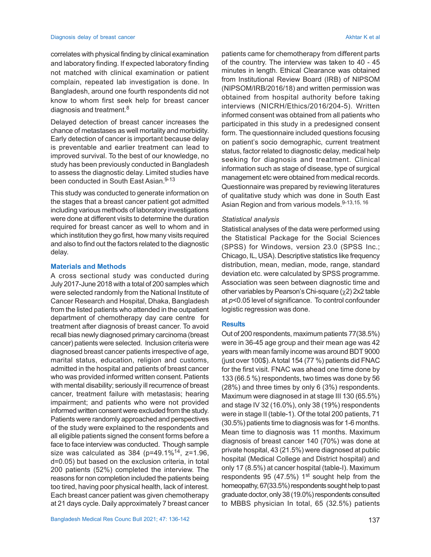correlates with physical finding by clinical examination and laboratory finding. If expected laboratory finding not matched with clinical examination or patient complain, repeated lab investigation is done. In Bangladesh, around one fourth respondents did not know to whom first seek help for breast cancer diagnosis and treatment.<sup>8</sup>

Delayed detection of breast cancer increases the chance of metastases as well mortality and morbidity. Early detection of cancer is important because delay is preventable and earlier treatment can lead to improved survival. To the best of our knowledge, no study has been previously conducted in Bangladesh to assess the diagnostic delay. Limited studies have been conducted in South East Asian.<sup>9-13</sup>

This study was conducted to generate information on the stages that a breast cancer patient got admitted including various methods of laboratory investigations were done at different visits to determine the duration required for breast cancer as well to whom and in which institution they go first, how many visits required and also to find out the factors related to the diagnostic delay.

#### **Materials and Methods**

A cross sectional study was conducted during July 2017-June 2018 with a total of 200 samples which were selected randomly from the National Institute of Cancer Research and Hospital, Dhaka, Bangladesh from the listed patients who attended in the outpatient department of chemotherapy day care centre for treatment after diagnosis of breast cancer. To avoid recall bias newly diagnosed primary carcinoma (breast cancer) patients were selected. Inclusion criteria were diagnosed breast cancer patients irrespective of age, marital status, education, religion and customs, admitted in the hospital and patients of breast cancer who was provided informed written consent. Patients with mental disability; seriously ill recurrence of breast cancer, treatment failure with metastasis; hearing impairment; and patients who were not provided informed written consent were excluded from the study. Patients were randomly approached and perspectives of the study were explained to the respondents and all eligible patients signed the consent forms before a face to face interview was conducted. Though sample size was calculated as  $384$  (p=49.1%<sup>14</sup>, z=1.96, d=0.05) but based on the exclusion criteria, in total 200 patients (52%) completed the interview. The reasons for non completion included the patients being too tired, having poor physical health, lack of interest. Each breast cancer patient was given chemotherapy at 21 days cycle. Daily approximately 7 breast cancer

patients came for chemotherapy from different parts of the country. The interview was taken to 40 - 45 minutes in length. Ethical Clearance was obtained from Institutional Review Board (IRB) of NIPSOM (NIPSOM/IRB/2016/18) and written permission was obtained from hospital authority before taking interviews (NICRH/Ethics/2016/204-5). Written informed consent was obtained from all patients who participated in this study in a predesigned consent form. The questionnaire included questions focusing on patient's socio demographic, current treatment status, factor related to diagnostic delay, medical help seeking for diagnosis and treatment. Clinical information such as stage of disease, type of surgical management etc were obtained from medical records. Questionnaire was prepared by reviewing literatures of qualitative study which was done in South East Asian Region and from various models. 9-13, 15, 16

#### *Statistical analysis*

Statistical analyses of the data were performed using the Statistical Package for the Social Sciences (SPSS) for Windows, version 23.0 (SPSS Inc.; Chicago, IL, USA). Descriptive statistics like frequency distribution, mean, median, mode, range, standard deviation etc. were calculated by SPSS programme. Association was seen between diagnostic time and other variables by Pearson's Chi-square  $(\chi 2)$  2x2 table at *p*<0.05 level of significance. To control confounder logistic regression was done.

#### **Results**

Out of 200 respondents, maximum patients 77(38.5%) were in 36-45 age group and their mean age was 42 years with mean family income was around BDT 9000 (just over 100\$). A total 154 (77 %) patients did FNAC for the first visit. FNAC was ahead one time done by 133 (66.5 %) respondents, two times was done by 56 (28%) and three times by only 6 (3%) respondents. Maximum were diagnosed in at stage III 130 (65.5%) and stage IV 32 (16.0%), only 38 (19%) respondents were in stage II (table-1). Of the total 200 patients, 71 (30.5%) patients time to diagnosis was for 1-6 months. Mean time to diagnosis was 11 months. Maximum diagnosis of breast cancer 140 (70%) was done at private hospital, 43 (21.5%) were diagnosed at public hospital (Medical College and District hospital) and only 17 (8.5%) at cancer hospital (table-I). Maximum respondents 95 (47.5%)  $1<sup>st</sup>$  sought help from the homeopathy, 67(33.5%) respondents sought help to past graduate doctor, only 38 (19.0%) respondents consulted to MBBS physician In total, 65 (32.5%) patients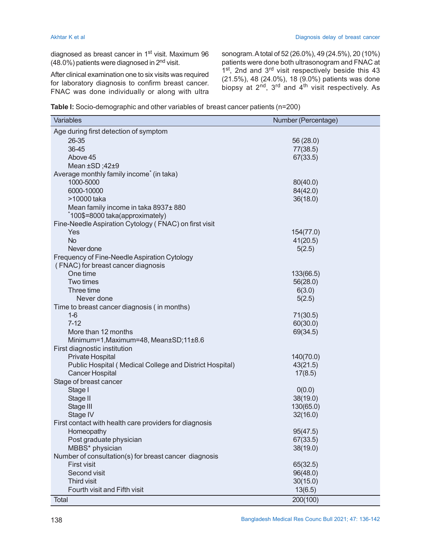diagnosed as breast cancer in 1<sup>st</sup> visit. Maximum 96  $(48.0\%)$  patients were diagnosed in  $2<sup>nd</sup>$  visit.

After clinical examination one to six visits was required for laboratory diagnosis to confirm breast cancer. FNAC was done individually or along with ultra sonogram. A total of 52 (26.0%), 49 (24.5%), 20 (10%) patients were done both ultrasonogram and FNAC at 1<sup>st</sup>, 2nd and 3<sup>rd</sup> visit respectively beside this 43 (21.5%), 48 (24.0%), 18 (9.0%) patients was done biopsy at 2<sup>nd</sup>, 3<sup>rd</sup> and 4<sup>th</sup> visit respectively. As

| Table I: Socio-demographic and other variables of breast cancer patients (n=200) |  |  |
|----------------------------------------------------------------------------------|--|--|
|----------------------------------------------------------------------------------|--|--|

| Variables                                               | Number (Percentage) |
|---------------------------------------------------------|---------------------|
| Age during first detection of symptom                   |                     |
| 26-35                                                   | 56 (28.0)           |
| 36-45                                                   | 77(38.5)            |
| Above 45                                                | 67(33.5)            |
| Mean ±SD;42±9                                           |                     |
| Average monthly family income* (in taka)                |                     |
| 1000-5000                                               | 80(40.0)            |
| 6000-10000                                              | 84(42.0)            |
| >10000 taka                                             | 36(18.0)            |
| Mean family income in taka 8937±880                     |                     |
| *100\$=8000 taka(approximately)                         |                     |
| Fine-Needle Aspiration Cytology (FNAC) on first visit   |                     |
| Yes                                                     | 154(77.0)           |
| <b>No</b>                                               | 41(20.5)            |
| Never done                                              | 5(2.5)              |
| Frequency of Fine-Needle Aspiration Cytology            |                     |
| (FNAC) for breast cancer diagnosis                      |                     |
| One time                                                | 133(66.5)           |
| Two times                                               | 56(28.0)            |
| Three time                                              | 6(3.0)              |
| Never done                                              | 5(2.5)              |
| Time to breast cancer diagnosis (in months)             |                     |
| $1-6$                                                   | 71(30.5)            |
| $7 - 12$                                                | 60(30.0)            |
| More than 12 months                                     | 69(34.5)            |
| Minimum=1, Maximum=48, Mean±SD; 11±8.6                  |                     |
| First diagnostic institution                            |                     |
| Private Hospital                                        | 140(70.0)           |
| Public Hospital (Medical College and District Hospital) | 43(21.5)            |
| <b>Cancer Hospital</b>                                  | 17(8.5)             |
| Stage of breast cancer                                  |                     |
| Stage I                                                 | 0(0.0)              |
| Stage II                                                | 38(19.0)            |
| Stage III                                               | 130(65.0)           |
| Stage IV                                                | 32(16.0)            |
| First contact with health care providers for diagnosis  |                     |
| Homeopathy                                              | 95(47.5)            |
| Post graduate physician                                 | 67(33.5)            |
| MBBS* physician                                         | 38(19.0)            |
| Number of consultation(s) for breast cancer diagnosis   |                     |
| <b>First visit</b>                                      | 65(32.5)            |
| Second visit                                            | 96(48.0)            |
| Third visit                                             | 30(15.0)            |
| Fourth visit and Fifth visit                            | 13(6.5)             |
| <b>Total</b>                                            | 200(100)            |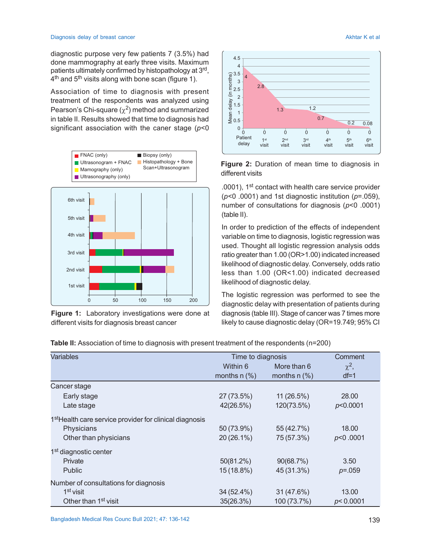diagnostic purpose very few patients 7 (3.5%) had done mammography at early three visits. Maximum patients ultimately confirmed by histopathology at 3<sup>rd</sup>, 4<sup>th</sup> and 5<sup>th</sup> visits along with bone scan (figure 1).

Association of time to diagnosis with present treatment of the respondents was analyzed using Pearson's Chi-square ( $\chi^2$ ) method and summarized in table II. Results showed that time to diagnosis had significant association with the caner stage (*p*<0



**Figure 1:** Laboratory investigations were done at different visits for diagnosis breast cancer





.0001), 1st contact with health care service provider (*p*<0 .0001) and 1st diagnostic institution (*p*=.059), number of consultations for diagnosis (*p*<0 .0001) (table II).

In order to prediction of the effects of independent variable on time to diagnosis, logistic regression was used. Thought all logistic regression analysis odds ratio greater than 1.00 (OR>1.00) indicated increased likelihood of diagnostic delay. Conversely, odds ratio less than 1.00 (OR<1.00) indicated decreased likelihood of diagnostic delay.

The logistic regression was performed to see the diagnostic delay with presentation of patients during diagnosis (table III). Stage of cancer was 7 times more likely to cause diagnostic delay (OR=19.749; 95% CI

**Table II:** Association of time to diagnosis with present treatment of the respondents (n=200)

| <b>Variables</b>                                                    | Time to diagnosis | Comment        |             |
|---------------------------------------------------------------------|-------------------|----------------|-------------|
|                                                                     | Within 6          | More than 6    | $\chi^2$ ,  |
|                                                                     | months $n$ (%)    | months $n$ (%) | $df=1$      |
| Cancer stage                                                        |                   |                |             |
| Early stage                                                         | 27 (73.5%)        | 11 (26.5%)     | 28,00       |
| Late stage                                                          | 42(26.5%)         | 120(73.5%)     | p<0.0001    |
| 1 <sup>st</sup> Health care service provider for clinical diagnosis |                   |                |             |
| Physicians                                                          | 50 (73.9%)        | 55 (42.7%)     | 18.00       |
| Other than physicians                                               | 20 (26.1%)        | 75 (57.3%)     | p<0.0001    |
| 1 <sup>st</sup> diagnostic center                                   |                   |                |             |
| Private                                                             | 50(81.2%)         | 90(68.7%)      | 3.50        |
| Public                                                              | 15 (18.8%)        | 45 (31.3%)     | $p = 0.059$ |
| Number of consultations for diagnosis                               |                   |                |             |
| 1 <sup>st</sup> visit                                               | 34 (52.4%)        | 31 (47.6%)     | 13.00       |
| Other than 1 <sup>st</sup> visit                                    | 35(26.3%)         | 100 (73.7%)    | p<0.0001    |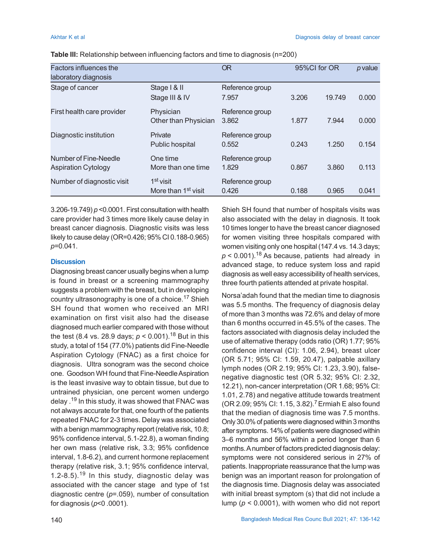| Factors influences the                              |                                                          | <b>OR</b>                | 95%CI for OR |        | p value |  |
|-----------------------------------------------------|----------------------------------------------------------|--------------------------|--------------|--------|---------|--|
| laboratory diagnosis                                |                                                          |                          |              |        |         |  |
| Stage of cancer                                     | Stage   & II<br>Stage III & IV                           | Reference group<br>7.957 | 3.206        | 19.749 | 0.000   |  |
| First health care provider                          | Physician<br>Other than Physician                        | Reference group<br>3.862 | 1.877        | 7.944  | 0.000   |  |
| Diagnostic institution                              | Private<br>Public hospital                               | Reference group<br>0.552 | 0.243        | 1.250  | 0.154   |  |
| Number of Fine-Needle<br><b>Aspiration Cytology</b> | One time<br>More than one time                           | Reference group<br>1.829 | 0.867        | 3.860  | 0.113   |  |
| Number of diagnostic visit                          | 1 <sup>st</sup> visit<br>More than 1 <sup>st</sup> visit | Reference group<br>0.426 | 0.188        | 0.965  | 0.041   |  |

**Table III:** Relationship between influencing factors and time to diagnosis (n=200)

3.206-19.749) *p* <0.0001. First consultation with health care provider had 3 times more likely cause delay in breast cancer diagnosis. Diagnostic visits was less likely to cause delay (OR=0.426; 95% CI 0.188-0.965) *p*=0.041.

#### **Discussion**

Diagnosing breast cancer usually begins when a lump is found in breast or a screening mammography suggests a problem with the breast, but in developing country ultrasonography is one of a choice.17 Shieh SH found that women who received an MRI examination on first visit also had the disease diagnosed much earlier compared with those without the test (8.4 vs. 28.9 days; *p* < 0.001).18 But in this study, a total of 154 (77.0%) patients did Fine-Needle Aspiration Cytology (FNAC) as a first choice for diagnosis. Ultra sonogram was the second choice one. Goodson WH found that Fine-Needle Aspiration is the least invasive way to obtain tissue, but due to untrained physician, one percent women undergo delay .19 In this study, it was showed that FNAC was not always accurate for that, one fourth of the patients repeated FNAC for 2-3 times. Delay was associated with a benign mammography report (relative risk, 10.8; 95% confidence interval, 5.1-22.8), a woman finding her own mass (relative risk, 3.3; 95% confidence interval, 1.8-6.2), and current hormone replacement therapy (relative risk, 3.1; 95% confidence interval, 1.2-8.5).19 In this study, diagnostic delay was associated with the cancer stage and type of 1st diagnostic centre (*p*=.059), number of consultation for diagnosis (*p*<0 .0001).

Shieh SH found that number of hospitals visits was also associated with the delay in diagnosis. It took 10 times longer to have the breast cancer diagnosed for women visiting three hospitals compared with women visiting only one hospital (147.4 vs. 14.3 days;  $p < 0.001$ ).<sup>18</sup> As because, patients had already in advanced stage, to reduce system loss and rapid diagnosis as well easy accessibility of health services, three fourth patients attended at private hospital.

Norsa'adah found that the median time to diagnosis was 5.5 months. The frequency of diagnosis delay of more than 3 months was 72.6% and delay of more than 6 months occurred in 45.5% of the cases. The factors associated with diagnosis delay included the use of alternative therapy (odds ratio (OR) 1.77; 95% confidence interval (CI): 1.06, 2.94), breast ulcer (OR 5.71; 95% CI: 1.59, 20.47), palpable axillary lymph nodes (OR 2.19; 95% CI: 1.23, 3.90), falsenegative diagnostic test (OR 5.32; 95% CI: 2.32, 12.21), non-cancer interpretation (OR 1.68; 95% CI: 1.01, 2.78) and negative attitude towards treatment (OR 2.09; 95% CI: 1.15, 3.82).7 Ermiah E also found that the median of diagnosis time was 7.5 months. Only 30.0% of patients were diagnosed within 3 months after symptoms. 14% of patients were diagnosed within 3–6 months and 56% within a period longer than 6 months. A number of factors predicted diagnosis delay: symptoms were not considered serious in 27% of patients. Inappropriate reassurance that the lump was benign was an important reason for prolongation of the diagnosis time. Diagnosis delay was associated with initial breast symptom (s) that did not include a lump (*p* < 0.0001), with women who did not report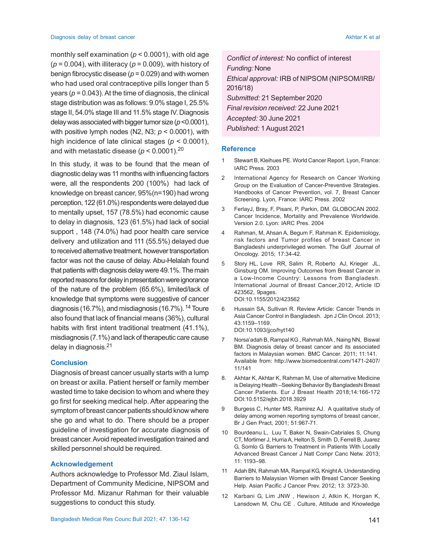monthly self examination (*p* < 0.0001), with old age (*p* = 0.004), with illiteracy (*p* = 0.009), with history of benign fibrocystic disease (*p* = 0.029) and with women who had used oral contraceptive pills longer than 5 years ( $p = 0.043$ ). At the time of diagnosis, the clinical stage distribution was as follows: 9.0% stage I, 25.5% stage II, 54.0% stage III and 11.5% stage IV. Diagnosis delay was associated with bigger tumor size (*p* <0.0001), with positive lymph nodes (N2, N3; *p* < 0.0001), with high incidence of late clinical stages (*p* < 0.0001), and with metastatic disease  $(p < 0.0001).^{20}$ 

In this study, it was to be found that the mean of diagnostic delay was 11 months with influencing factors were, all the respondents 200 (100%) had lack of knowledge on breast cancer, 95%(n=190) had wrong perception, 122 (61.0%) respondents were delayed due to mentally upset, 157 (78.5%) had economic cause to delay in diagnosis, 123 (61.5%) had lack of social support , 148 (74.0%) had poor health care service delivery and utilization and 111 (55.5%) delayed due to received alternative treatment, however transportation factor was not the cause of delay. Abu-Helalah found that patients with diagnosis delay were 49.1%. The main reported reasons for delay in presentation were ignorance of the nature of the problem (65.6%), limited/lack of knowledge that symptoms were suggestive of cancer diagnosis (16.7%), and misdiagnosis (16.7%).  $14$  Toure also found that lack of financial means (36%), cultural habits with first intent traditional treatment (41.1%), misdiagnosis (7.1%) and lack of therapeutic care cause delay in diagnosis.<sup>21</sup>

#### **Conclusion**

Diagnosis of breast cancer usually starts with a lump on breast or axilla. Patient herself or family member wasted time to take decision to whom and where they go first for seeking medical help. After appearing the symptom of breast cancer patients should know where she go and what to do. There should be a proper guideline of investigation for accurate diagnosis of breast cancer. Avoid repeated investigation trained and skilled personnel should be required.

### **Acknowledgement**

Authors acknowledge to Professor Md. Ziaul Islam, Department of Community Medicine, NIPSOM and Professor Md. Mizanur Rahman for their valuable suggestions to conduct this study.

*Conflict of interest:* No conflict of interest *Funding:* None *Ethical approval:* IRB of NIPSOM (NIPSOM/IRB/ 2016/18) *Submitted:* 21 September 2020 *Final revision received:* 22 June 2021 *Accepted:* 30 June 2021 *Published:* 1August 2021

#### **Reference**

- 1 Stewart B, Kleihues PE. World Cancer Report. Lyon, France: IARC Press. 2003
- 2 International Agency for Research on Cancer Working Group on the Evaluation of Cancer-Preventive Strategies. Handbooks of Cancer Prevention, vol. 7, Breast Cancer Screening. Lyon, France: IARC Press. 2002
- 3 FerlayJ, Bray, F, Pisani, P, Parkin, DM. GLOBOCAN 2002. Cancer Incidence, Mortality and Prevalence Worldwide. Version 2.0. Lyon: IARC Pres. 2004
- 4 Rahman, M, Ahsan A, Begum F, Rahman K. Epidemiology, risk factors and Tumor profiles of breast Cancer in Bangladeshi underprivileged women. The Gulf Journal of Oncology. 2015; 17:34-42.
- 5 Story HL, Love RR, Salim R, Roberto AJ, Krieger JL, Ginsburg OM. Improving Outcomes from Breast Cancer in a Low-Income Country: Lessons from Bangladesh. International Journal of Breast Cancer,2012, Article ID 423562, 9pages. DOI:10.1155/2012/423562
- 6 Hussain SA, Sullivan R. Review Article: Cancer Trends in Asia Cancer Control in Bangladesh. Jpn J Clin Oncol. 2013; 43:1159–1169. DOI:10.1093/jjco/hyt140
- 7 Norsa'adah B, Rampal KG , Rahmah MA , Naing NN, Biswal BM. Diagnosis delay of breast cancer and its associated factors in Malaysian women. BMC Cancer. 2011; 11:141. Available from: http://www.biomedcentral.com/1471-2407/ 11/141
- 8. Akhtar K, Akhtar K, Rahman M, Use of alternative Medicine is Delaying Health –Seeking Behavior By Bangladeshi Breast Cancer Patients*.* Eur J Breast Health 2018;14:166-172 DOI:10.5152/ejbh.2018.3929
- 9 Burgess C, Hunter MS, Ramirez AJ. A qualitative study of delay among women reporting symptoms of breast cancer*,* Br J Gen Pract, 2001; 51:967-71.
- 10 Bourdeanu L, Luu T, Baker N, Swain-Cabriales S, Chung CT, Mortimer J, Hurria A, Helton S, Smith D, Ferrell B, Juarez G, Somlo G. Barriers to Treatment in Patients With Locally Advanced Breast Cancer J Natl Compr Canc Netw. 2013; 11: 1193–98.
- 11 Adah BN, Rahmah MA, Rampal KG, Knight A. Understanding Barriers to Malaysian Women with Breast Cancer Seeking Help. Asian Pacific J Cancer Prev. 2012; 13: 3723-30.
- 12 Karbani G, Lim JNW , Hewison J, Atkin K, Horgan K, Lansdown M, Chu CE . Culture, Attitude and Knowledge